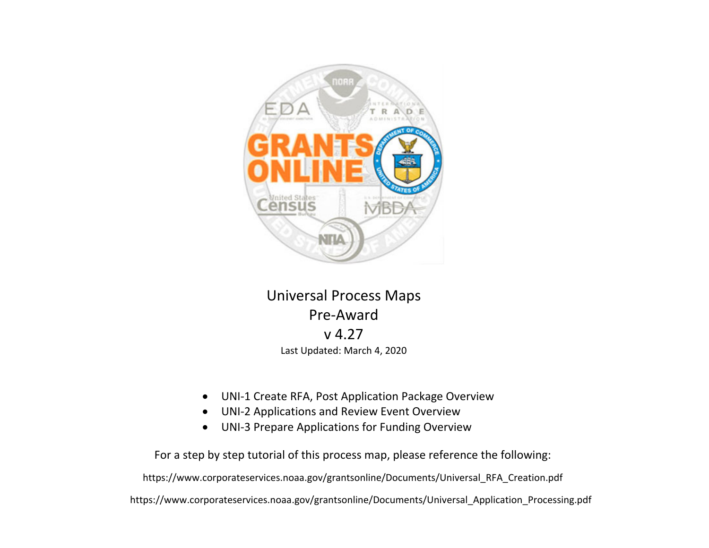

### Universal Process Maps Pre‐Awardv 4.27Last Updated: March 4, 2020

- $\bullet$ UNI‐1 Create RFA, Post Application Package Overview
- $\bullet$ UNI‐2 Applications and Review Event Overview
- $\bullet$ UNI‐3 Prepare Applications for Funding Overview

For a step by step tutorial of this process map, please reference the following:

https://www.corporateservices.noaa.gov/grantsonline/Documents/Universal\_RFA\_Creation.pdf

https://www.corporateservices.noaa.gov/grantsonline/Documents/Universal\_Application\_Processing.pdf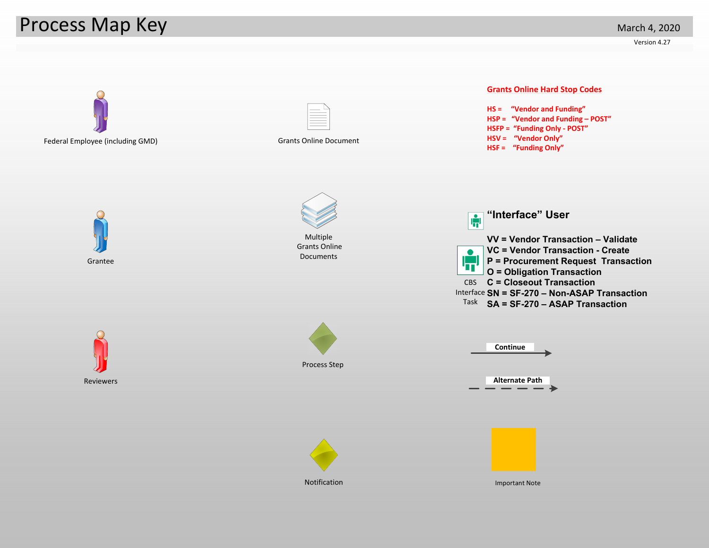## Process Map Key

Version 4.27

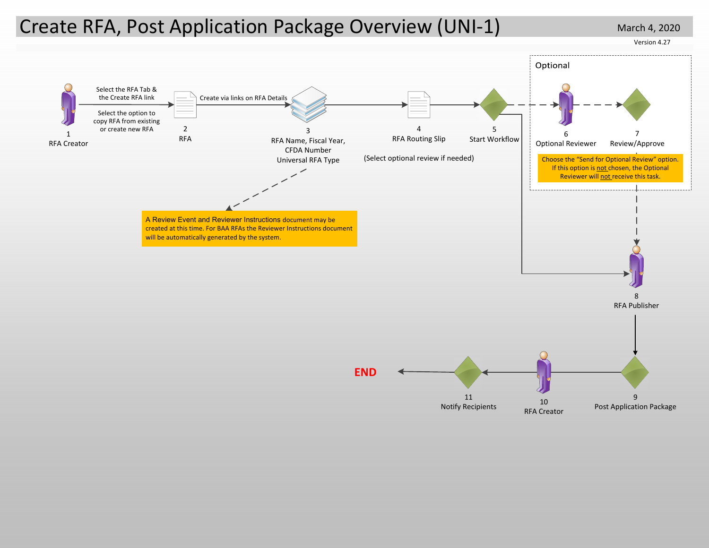### Create RFA, Post Application Package Overview (UNI-1) March 4, 2020

Version 4.27

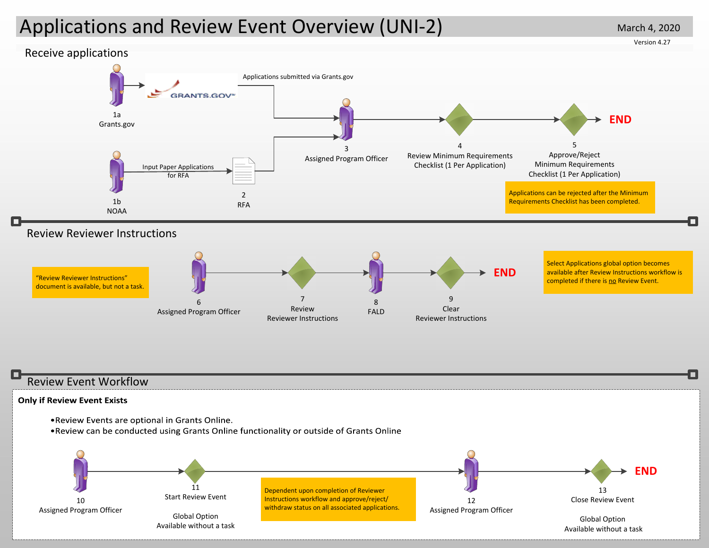# Applications and Review Event Overview (UNI‐2)

March 4, 2020

Version 4.27

![](_page_3_Figure_3.jpeg)

#### Review Event Workflow

#### **Only if Review Event Exists**

![](_page_3_Figure_6.jpeg)